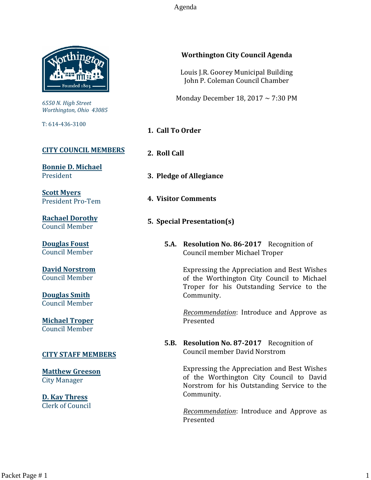Agenda



*6550 N. High Street Worthington, Ohio 43085*

T: 614-436-3100

# **[CITY COUNCIL MEMBERS](mailto:CityCouncil@ci.worthington.oh.us?subject=Email%20from%20City%20Council%20Meeting%20Agenda%20Link)**

**[Bonnie D. Michael](mailto:bmichael@ci.worthington.oh.us?subject=Email%20from%20City%20Council%20Meeting%20Agenda%20Link)** President

**[Scott Myers](mailto:smyers@ci.worthington.oh.us?subject=Email%20from%20City%20Council%20Meeting%20Agenda%20Link)** President Pro-Tem

**[Rachael Dorothy](mailto:rdorothy@ci.worthington.oh.us?subject=Email%20from%20City%20Council%20Meeting%20Agenda%20Link)** Council Member

**[Douglas Foust](mailto:Doug.Foust@ci.worthington.oh.us?subject=Email%20from%20City%20Council%20Meeting%20Agenda%20Link)** Council Member

**[David Norstrom](mailto:DNorstrom@ci.worthington.oh.us?subject=Email%20from%20City%20Council%20Meeting%20Agenda%20Link)** Council Member

**[Douglas Smith](mailto:DSmith@ci.worthington.oh.us?subject=Email%20from%20City%20Council%20Meeting%20Agenda%20Link)** Council Member

**[Michael Troper](mailto:MTroper@ci.worthington.oh.us?subject=Email%20from%20City%20Council%20Meeting%20Agenda%20Link)** Council Member

## **[CITY STAFF MEMBERS](mailto:Council@ci.worthington.oh.us?subject=Email%20from%20City%20Council%20Meeting%20Agenda%20Link)**

**[Matthew Greeson](mailto:MGreeson@ci.worthington.oh.us?subject=Email%20from%20City%20Council%20Meeting%20Agenda%20Link)** City Manager

**[D. Kay Thress](mailto:DThress@ci.worthington.oh.us?subject=Email%20from%20City%20Council%20Meeting%20Agenda%20Link)** Clerk of Council

# **Worthington City Council Agenda**

Louis J.R. Goorey Municipal Building John P. Coleman Council Chamber

Monday December 18, 2017 ~ 7:30 PM

- **1. Call To Order**
- **2. Roll Call**
- **3. Pledge of Allegiance**
- **4. Visitor Comments**
- **5. Special Presentation(s)**
	- **5.A. Resolution No. 86-2017** Recognition of Council member Michael Troper

Expressing the Appreciation and Best Wishes of the Worthington City Council to Michael Troper for his Outstanding Service to the Community.

*Recommendation*: Introduce and Approve as Presented

**5.B. Resolution No. 87-2017** Recognition of Council member David Norstrom

> Expressing the Appreciation and Best Wishes of the Worthington City Council to David Norstrom for his Outstanding Service to the Community.

> *Recommendation*: Introduce and Approve as Presented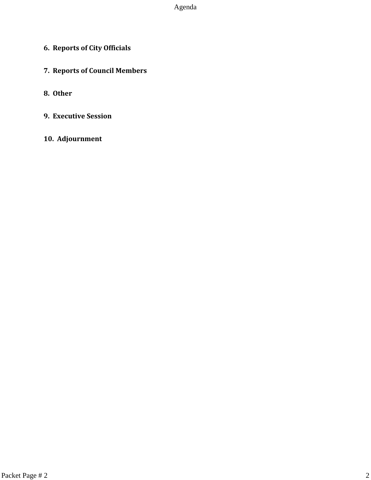Agenda

- **6. Reports of City Officials**
- **7. Reports of Council Members**
- **8. Other**
- **9. Executive Session**
- **10. Adjournment**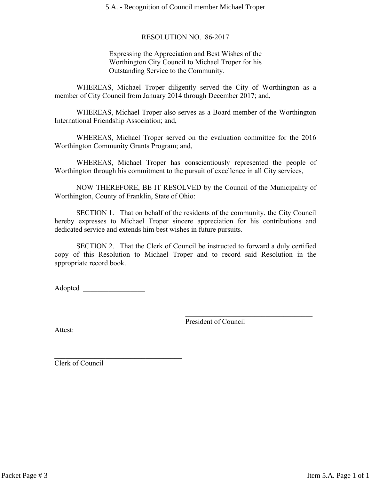5.A. - Recognition of Council member Michael Troper

### RESOLUTION NO. 86-2017

Expressing the Appreciation and Best Wishes of the Worthington City Council to Michael Troper for his Outstanding Service to the Community.

WHEREAS, Michael Troper diligently served the City of Worthington as a member of City Council from January 2014 through December 2017; and,

WHEREAS, Michael Troper also serves as a Board member of the Worthington International Friendship Association; and,

WHEREAS, Michael Troper served on the evaluation committee for the 2016 Worthington Community Grants Program; and,

WHEREAS, Michael Troper has conscientiously represented the people of Worthington through his commitment to the pursuit of excellence in all City services,

NOW THEREFORE, BE IT RESOLVED by the Council of the Municipality of Worthington, County of Franklin, State of Ohio:

SECTION 1. That on behalf of the residents of the community, the City Council hereby expresses to Michael Troper sincere appreciation for his contributions and dedicated service and extends him best wishes in future pursuits.

SECTION 2. That the Clerk of Council be instructed to forward a duly certified copy of this Resolution to Michael Troper and to record said Resolution in the appropriate record book.

Adopted  $\blacksquare$ 

 $\mathcal{L}_\text{max}$  , where  $\mathcal{L}_\text{max}$  and  $\mathcal{L}_\text{max}$  and  $\mathcal{L}_\text{max}$ 

President of Council

 $\mathcal{L}_\text{max}$  , where  $\mathcal{L}_\text{max}$  and  $\mathcal{L}_\text{max}$  and  $\mathcal{L}_\text{max}$ 

Attest:

Clerk of Council